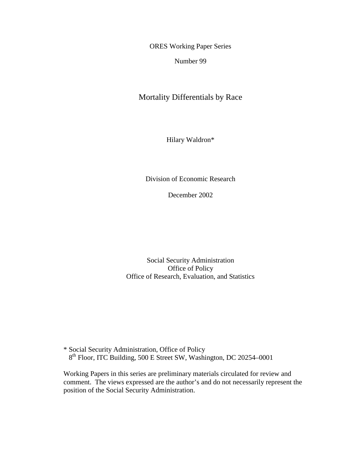ORES Working Paper Series

Number 99

Mortality Differentials by Race

Hilary Waldron\*

Division of Economic Research

December 2002

Social Security Administration Office of Policy Office of Research, Evaluation, and Statistics

\* Social Security Administration, Office of Policy 8<sup>th</sup> Floor, ITC Building, 500 E Street SW, Washington, DC 20254–0001

Working Papers in this series are preliminary materials circulated for review and comment. The views expressed are the author's and do not necessarily represent the position of the Social Security Administration.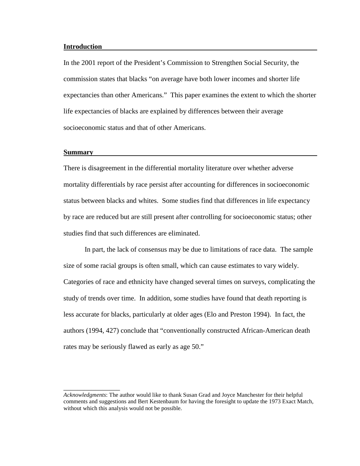### **Introduction**

In the 2001 report of the President's Commission to Strengthen Social Security, the commission states that blacks "on average have both lower incomes and shorter life expectancies than other Americans." This paper examines the extent to which the shorter life expectancies of blacks are explained by differences between their average socioeconomic status and that of other Americans.

### **Summary**

 $\overline{\phantom{a}}$  , where  $\overline{\phantom{a}}$ 

There is disagreement in the differential mortality literature over whether adverse mortality differentials by race persist after accounting for differences in socioeconomic status between blacks and whites. Some studies find that differences in life expectancy by race are reduced but are still present after controlling for socioeconomic status; other studies find that such differences are eliminated.

In part, the lack of consensus may be due to limitations of race data. The sample size of some racial groups is often small, which can cause estimates to vary widely. Categories of race and ethnicity have changed several times on surveys, complicating the study of trends over time. In addition, some studies have found that death reporting is less accurate for blacks, particularly at older ages (Elo and Preston 1994). In fact, the authors (1994, 427) conclude that "conventionally constructed African-American death rates may be seriously flawed as early as age 50."

*Acknowledgments*: The author would like to thank Susan Grad and Joyce Manchester for their helpful comments and suggestions and Bert Kestenbaum for having the foresight to update the 1973 Exact Match, without which this analysis would not be possible.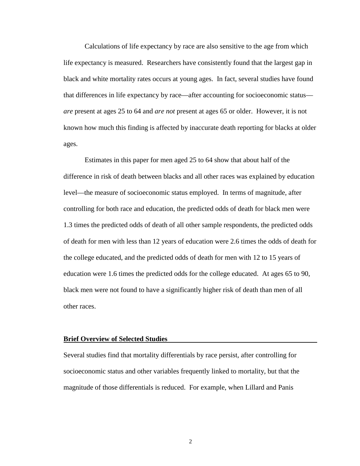Calculations of life expectancy by race are also sensitive to the age from which life expectancy is measured. Researchers have consistently found that the largest gap in black and white mortality rates occurs at young ages. In fact, several studies have found that differences in life expectancy by race—after accounting for socioeconomic status *are* present at ages 25 to 64 and *are not* present at ages 65 or older. However, it is not known how much this finding is affected by inaccurate death reporting for blacks at older ages.

Estimates in this paper for men aged 25 to 64 show that about half of the difference in risk of death between blacks and all other races was explained by education level—the measure of socioeconomic status employed. In terms of magnitude, after controlling for both race and education, the predicted odds of death for black men were 1.3 times the predicted odds of death of all other sample respondents, the predicted odds of death for men with less than 12 years of education were 2.6 times the odds of death for the college educated, and the predicted odds of death for men with 12 to 15 years of education were 1.6 times the predicted odds for the college educated. At ages 65 to 90, black men were not found to have a significantly higher risk of death than men of all other races.

### **Brief Overview of Selected Studies**

Several studies find that mortality differentials by race persist, after controlling for socioeconomic status and other variables frequently linked to mortality, but that the magnitude of those differentials is reduced. For example, when Lillard and Panis

2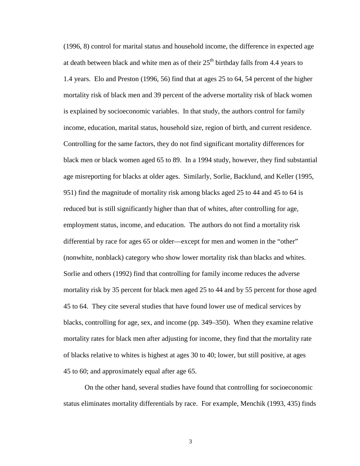(1996, 8) control for marital status and household income, the difference in expected age at death between black and white men as of their  $25<sup>th</sup>$  birthday falls from 4.4 years to 1.4 years. Elo and Preston (1996, 56) find that at ages 25 to 64, 54 percent of the higher mortality risk of black men and 39 percent of the adverse mortality risk of black women is explained by socioeconomic variables. In that study, the authors control for family income, education, marital status, household size, region of birth, and current residence. Controlling for the same factors, they do not find significant mortality differences for black men or black women aged 65 to 89. In a 1994 study, however, they find substantial age misreporting for blacks at older ages. Similarly, Sorlie, Backlund, and Keller (1995, 951) find the magnitude of mortality risk among blacks aged 25 to 44 and 45 to 64 is reduced but is still significantly higher than that of whites, after controlling for age, employment status, income, and education. The authors do not find a mortality risk differential by race for ages 65 or older—except for men and women in the "other" (nonwhite, nonblack) category who show lower mortality risk than blacks and whites. Sorlie and others (1992) find that controlling for family income reduces the adverse mortality risk by 35 percent for black men aged 25 to 44 and by 55 percent for those aged 45 to 64. They cite several studies that have found lower use of medical services by blacks, controlling for age, sex, and income (pp. 349–350). When they examine relative mortality rates for black men after adjusting for income, they find that the mortality rate of blacks relative to whites is highest at ages 30 to 40; lower, but still positive, at ages 45 to 60; and approximately equal after age 65.

On the other hand, several studies have found that controlling for socioeconomic status eliminates mortality differentials by race. For example, Menchik (1993, 435) finds

3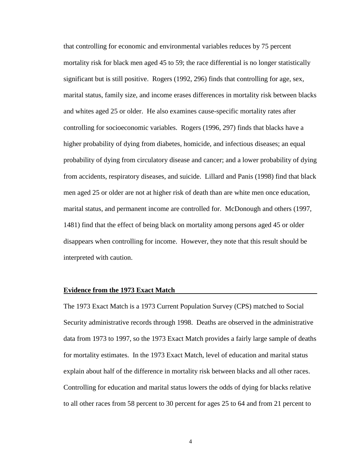that controlling for economic and environmental variables reduces by 75 percent mortality risk for black men aged 45 to 59; the race differential is no longer statistically significant but is still positive. Rogers (1992, 296) finds that controlling for age, sex, marital status, family size, and income erases differences in mortality risk between blacks and whites aged 25 or older. He also examines cause-specific mortality rates after controlling for socioeconomic variables. Rogers (1996, 297) finds that blacks have a higher probability of dying from diabetes, homicide, and infectious diseases; an equal probability of dying from circulatory disease and cancer; and a lower probability of dying from accidents, respiratory diseases, and suicide. Lillard and Panis (1998) find that black men aged 25 or older are not at higher risk of death than are white men once education, marital status, and permanent income are controlled for. McDonough and others (1997, 1481) find that the effect of being black on mortality among persons aged 45 or older disappears when controlling for income. However, they note that this result should be interpreted with caution.

## **Evidence from the 1973 Exact Match**

The 1973 Exact Match is a 1973 Current Population Survey (CPS) matched to Social Security administrative records through 1998. Deaths are observed in the administrative data from 1973 to 1997, so the 1973 Exact Match provides a fairly large sample of deaths for mortality estimates. In the 1973 Exact Match, level of education and marital status explain about half of the difference in mortality risk between blacks and all other races. Controlling for education and marital status lowers the odds of dying for blacks relative to all other races from 58 percent to 30 percent for ages 25 to 64 and from 21 percent to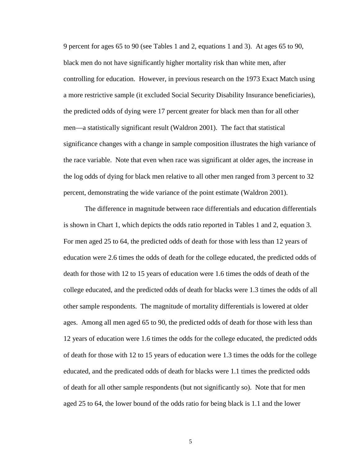9 percent for ages 65 to 90 (see Tables 1 and 2, equations 1 and 3). At ages 65 to 90, black men do not have significantly higher mortality risk than white men, after controlling for education. However, in previous research on the 1973 Exact Match using a more restrictive sample (it excluded Social Security Disability Insurance beneficiaries), the predicted odds of dying were 17 percent greater for black men than for all other men—a statistically significant result (Waldron 2001). The fact that statistical significance changes with a change in sample composition illustrates the high variance of the race variable. Note that even when race was significant at older ages, the increase in the log odds of dying for black men relative to all other men ranged from 3 percent to 32 percent, demonstrating the wide variance of the point estimate (Waldron 2001).

The difference in magnitude between race differentials and education differentials is shown in Chart 1, which depicts the odds ratio reported in Tables 1 and 2, equation 3. For men aged 25 to 64, the predicted odds of death for those with less than 12 years of education were 2.6 times the odds of death for the college educated, the predicted odds of death for those with 12 to 15 years of education were 1.6 times the odds of death of the college educated, and the predicted odds of death for blacks were 1.3 times the odds of all other sample respondents. The magnitude of mortality differentials is lowered at older ages. Among all men aged 65 to 90, the predicted odds of death for those with less than 12 years of education were 1.6 times the odds for the college educated, the predicted odds of death for those with 12 to 15 years of education were 1.3 times the odds for the college educated, and the predicated odds of death for blacks were 1.1 times the predicted odds of death for all other sample respondents (but not significantly so). Note that for men aged 25 to 64, the lower bound of the odds ratio for being black is 1.1 and the lower

5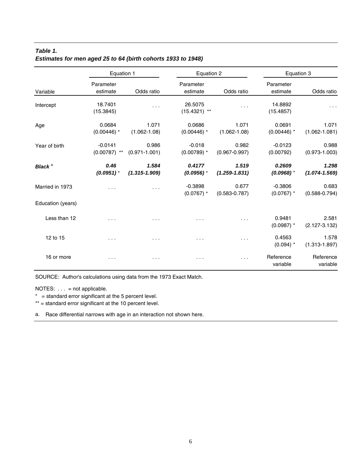# *Table 1. Estimates for men aged 25 to 64 (birth cohorts 1933 to 1948)*

|                    | Equation 1                  |                            |                           | Equation 2                 |                           | Equation 3                 |  |
|--------------------|-----------------------------|----------------------------|---------------------------|----------------------------|---------------------------|----------------------------|--|
| Variable           | Parameter<br>estimate       | Odds ratio                 | Parameter<br>estimate     | Odds ratio                 | Parameter<br>estimate     | Odds ratio                 |  |
| Intercept          | 18.7401<br>(15.3845)        | $\cdots$                   | 26.5075<br>$(15.4321)$ ** | .                          | 14.8892<br>(15.4857)      | $\cdots$                   |  |
| Age                | 0.0684<br>$(0.00446)$ *     | 1.071<br>$(1.062 - 1.08)$  | 0.0686<br>$(0.00446)$ *   | 1.071<br>$(1.062 - 1.08)$  | 0.0691<br>$(0.00446)$ *   | 1.071<br>$(1.062 - 1.081)$ |  |
| Year of birth      | $-0.0141$<br>$(0.00787)$ ** | 0.986<br>$(0.971 - 1.001)$ | $-0.018$<br>$(0.00789)$ * | 0.982<br>$(0.967 - 0.997)$ | $-0.0123$<br>(0.00792)    | 0.988<br>$(0.973 - 1.003)$ |  |
| Black <sup>a</sup> | 0.46<br>$(0.0951)$ *        | 1.584<br>$(1.315 - 1.909)$ | 0.4177<br>$(0.0956)$ *    | 1.519<br>$(1.259 - 1.831)$ | 0.2609<br>$(0.0968)$ *    | 1.298<br>$(1.074 - 1.569)$ |  |
| Married in 1973    | $\cdots$                    | $\sim$ $\sim$ $\sim$       | $-0.3898$<br>$(0.0767)$ * | 0.677<br>$(0.583 - 0.787)$ | $-0.3806$<br>$(0.0767)$ * | 0.683<br>$(0.588 - 0.794)$ |  |
| Education (years)  |                             |                            |                           |                            |                           |                            |  |
| Less than 12       | $\cdots$                    | $\cdots$                   | $\cdots$                  | $\cdots$                   | 0.9481<br>$(0.0987)$ *    | 2.581<br>$(2.127 - 3.132)$ |  |
| 12 to 15           | $\cdots$                    | $\cdots$                   | $\cdots$                  | $\cdots$                   | 0.4563<br>$(0.094)$ *     | 1.578<br>$(1.313 - 1.897)$ |  |
| 16 or more         | $\cdots$                    | $\cdots$                   | $\cdots$                  | $\sim$ $\sim$ $\sim$       | Reference<br>variable     | Reference<br>variable      |  |

SOURCE: Author's calculations using data from the 1973 Exact Match.

NOTES: . . . = not applicable.

 $* =$  standard error significant at the 5 percent level.

\*\* = standard error significant at the 10 percent level.

a. Race differential narrows with age in an interaction not shown here.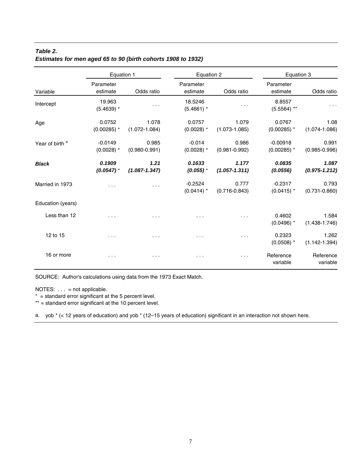# *Table 2. Estimates for men aged 65 to 90 (birth cohorts 1908 to 1932)*

|                            | Equation 1                |                            | Equation 2                |                            | Equation 3                  |                            |
|----------------------------|---------------------------|----------------------------|---------------------------|----------------------------|-----------------------------|----------------------------|
| Variable                   | Parameter<br>estimate     | Odds ratio                 | Parameter<br>estimate     | Odds ratio                 | Parameter<br>estimate       | Odds ratio                 |
| Intercept                  | 19.963<br>$(5.4639)$ *    | $\cdots$                   | 18.5246<br>$(5.4661)$ *   | $\cdots$                   | 8.8557<br>$(5.5564)$ **     | $\cdots$                   |
| Age                        | 0.0752<br>$(0.00285)$ *   | 1.078<br>$(1.072 - 1.084)$ | 0.0757<br>$(0.0028)$ *    | 1.079<br>$(1.073 - 1.085)$ | 0.0767<br>$(0.00285)$ *     | 1.08<br>$(1.074 - 1.086)$  |
| Year of birth <sup>a</sup> | $-0.0149$<br>$(0.0028)$ * | 0.985<br>$(0.980 - 0.991)$ | $-0.014$<br>$(0.0028)$ *  | 0.986<br>$(0.981 - 0.992)$ | $-0.00918$<br>$(0.00285)$ * | 0.991<br>$(0.985 - 0.996)$ |
| <b>Black</b>               | 0.1909<br>$(0.0547)$ *    | 1.21<br>$(1.087 - 1.347)$  | 0.1633<br>$(0.055)$ *     | 1.177<br>$(1.057 - 1.311)$ | 0.0835<br>(0.0556)          | 1.087<br>$(0.975 - 1.212)$ |
| Married in 1973            | $\cdots$                  | .                          | $-0.2524$<br>$(0.0414)$ * | 0.777<br>$(0.716 - 0.843)$ | $-0.2317$<br>$(0.0415)$ *   | 0.793<br>$(0.731 - 0.860)$ |
| Education (years)          |                           |                            |                           |                            |                             |                            |
| Less than 12               | $\cdots$                  | $\cdots$                   | $\cdots$                  | $\cdots$                   | 0.4602<br>$(0.0496)$ *      | 1.584<br>$(1.438 - 1.746)$ |
| 12 to 15                   | $\cdots$                  | $\cdots$                   | $\cdots$                  | $\sim$ $\sim$ $\sim$       | 0.2323<br>$(0.0508)$ *      | 1.262<br>$(1.142 - 1.394)$ |
| 16 or more                 | $\cdots$                  | $\cdots$                   | .                         | .                          | Reference<br>variable       | Reference<br>variable      |

SOURCE: Author's calculations using data from the 1973 Exact Match.

NOTES: . . . = not applicable.

 $* =$  standard error significant at the 5 percent level.

\*\* = standard error significant at the 10 percent level.

a. yob \* (< 12 years of education) and yob \* (12–15 years of education) significant in an interaction not shown here.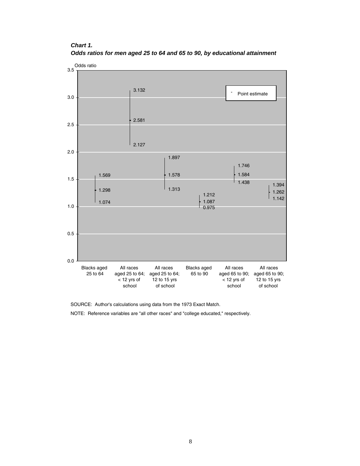# *Chart 1. Odds ratios for men aged 25 to 64 and 65 to 90, by educational attainment*



SOURCE: Author's calculations using data from the 1973 Exact Match.

NOTE: Reference variables are "all other races" and "college educated," respectively.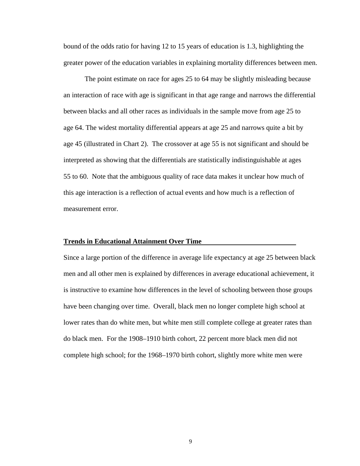bound of the odds ratio for having 12 to 15 years of education is 1.3, highlighting the greater power of the education variables in explaining mortality differences between men.

The point estimate on race for ages 25 to 64 may be slightly misleading because an interaction of race with age is significant in that age range and narrows the differential between blacks and all other races as individuals in the sample move from age 25 to age 64. The widest mortality differential appears at age 25 and narrows quite a bit by age 45 (illustrated in Chart 2). The crossover at age 55 is not significant and should be interpreted as showing that the differentials are statistically indistinguishable at ages 55 to 60. Note that the ambiguous quality of race data makes it unclear how much of this age interaction is a reflection of actual events and how much is a reflection of measurement error.

## **Trends in Educational Attainment Over Time**

Since a large portion of the difference in average life expectancy at age 25 between black men and all other men is explained by differences in average educational achievement, it is instructive to examine how differences in the level of schooling between those groups have been changing over time. Overall, black men no longer complete high school at lower rates than do white men, but white men still complete college at greater rates than do black men. For the 1908–1910 birth cohort, 22 percent more black men did not complete high school; for the 1968–1970 birth cohort, slightly more white men were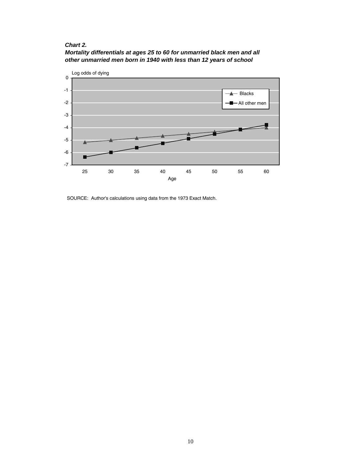# *Chart 2.*





SOURCE: Author's calculations using data from the 1973 Exact Match.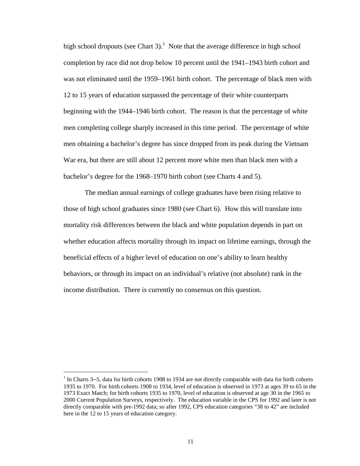high school dropouts (see Chart 3).<sup>1</sup> Note that the average difference in high school completion by race did not drop below 10 percent until the 1941–1943 birth cohort and was not eliminated until the 1959–1961 birth cohort. The percentage of black men with 12 to 15 years of education surpassed the percentage of their white counterparts beginning with the 1944–1946 birth cohort. The reason is that the percentage of white men completing college sharply increased in this time period. The percentage of white men obtaining a bachelor's degree has since dropped from its peak during the Vietnam War era, but there are still about 12 percent more white men than black men with a bachelor's degree for the 1968–1970 birth cohort (see Charts 4 and 5).

The median annual earnings of college graduates have been rising relative to those of high school graduates since 1980 (see Chart 6). How this will translate into mortality risk differences between the black and white population depends in part on whether education affects mortality through its impact on lifetime earnings, through the beneficial effects of a higher level of education on one's ability to learn healthy behaviors, or through its impact on an individual's relative (not absolute) rank in the income distribution. There is currently no consensus on this question.

 $\overline{a}$ 

 $<sup>1</sup>$  In Charts 3–5, data for birth cohorts 1908 to 1934 are not directly comparable with data for birth cohorts</sup> 1935 to 1970. For birth cohorts 1908 to 1934, level of education is observed in 1973 at ages 39 to 65 in the 1973 Exact Match; for birth cohorts 1935 to 1970, level of education is observed at age 30 in the 1965 to 2000 Current Population Surveys, respectively. The education variable in the CPS for 1992 and later is not directly comparable with pre-1992 data; so after 1992, CPS education categories "38 to 42" are included here in the 12 to 15 years of education category.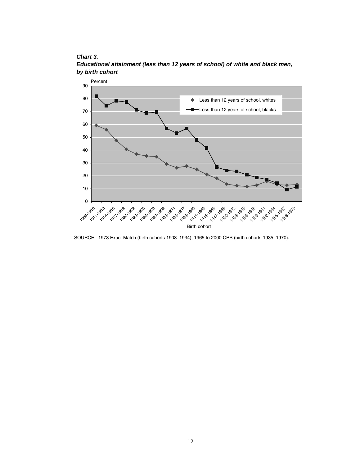# *Chart 3.*



*Educational attainment (less than 12 years of school) of white and black men, by birth cohort* 

SOURCE: 1973 Exact Match (birth cohorts 1908–1934); 1965 to 2000 CPS (birth cohorts 1935–1970).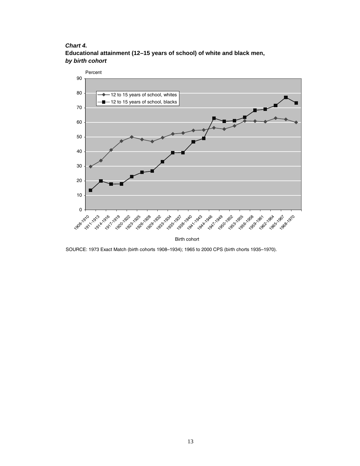*Chart 4.* **Educational attainment (12–15 years of school) of white and black men,** *by birth cohort* 



SOURCE: 1973 Exact Match (birth cohorts 1908–1934); 1965 to 2000 CPS (birth chorts 1935–1970).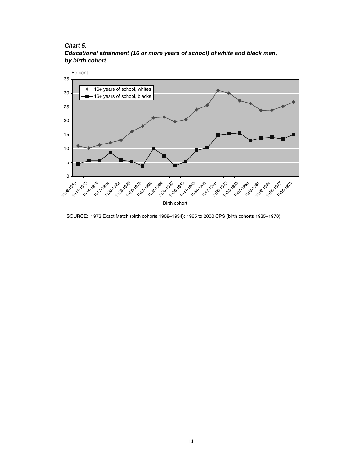## *Chart 5.*

*Educational attainment (16 or more years of school) of white and black men, by birth cohort* 



SOURCE: 1973 Exact Match (birth cohorts 1908–1934); 1965 to 2000 CPS (birth cohorts 1935–1970).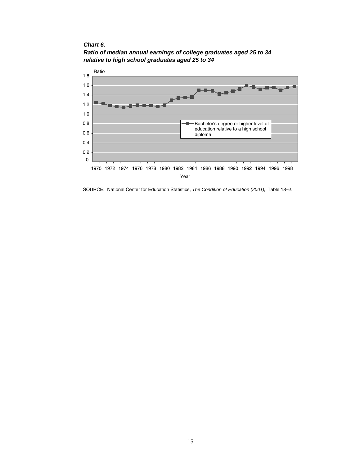*Chart 6.* 



*Ratio of median annual earnings of college graduates aged 25 to 34 relative to high school graduates aged 25 to 34*

SOURCE: National Center for Education Statistics, *The Condition of Education (2001),* Table 18–2.